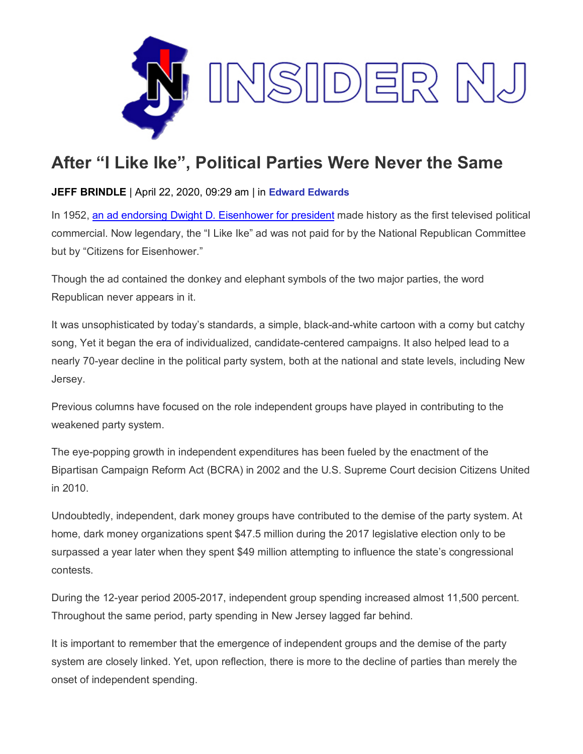

## **After "I Like Ike", Political Parties Were Never the Same**

## **JEFF BRINDLE** | April 22, 2020, 09:29 am | in **Edward [Edwards](https://www.insidernj.com/category/edward-edwards/)**

In 1952, [an ad endorsing Dwight D. Eisenhower for president](https://www.youtube.com/watch?v=va5Btg4kkUE) made history as the first televised political commercial. Now legendary, the "I Like Ike" ad was not paid for by the National Republican Committee but by "Citizens for Eisenhower."

Though the ad contained the donkey and elephant symbols of the two major parties, the word Republican never appears in it.

It was unsophisticated by today's standards, a simple, black-and-white cartoon with a corny but catchy song, Yet it began the era of individualized, candidate-centered campaigns. It also helped lead to a nearly 70-year decline in the political party system, both at the national and state levels, including New Jersey.

Previous columns have focused on the role independent groups have played in contributing to the weakened party system.

The eye-popping growth in independent expenditures has been fueled by the enactment of the Bipartisan Campaign Reform Act (BCRA) in 2002 and the U.S. Supreme Court decision Citizens United in 2010.

Undoubtedly, independent, dark money groups have contributed to the demise of the party system. At home, dark money organizations spent \$47.5 million during the 2017 legislative election only to be surpassed a year later when they spent \$49 million attempting to influence the state's congressional contests.

During the 12-year period 2005-2017, independent group spending increased almost 11,500 percent. Throughout the same period, party spending in New Jersey lagged far behind.

It is important to remember that the emergence of independent groups and the demise of the party system are closely linked. Yet, upon reflection, there is more to the decline of parties than merely the onset of independent spending.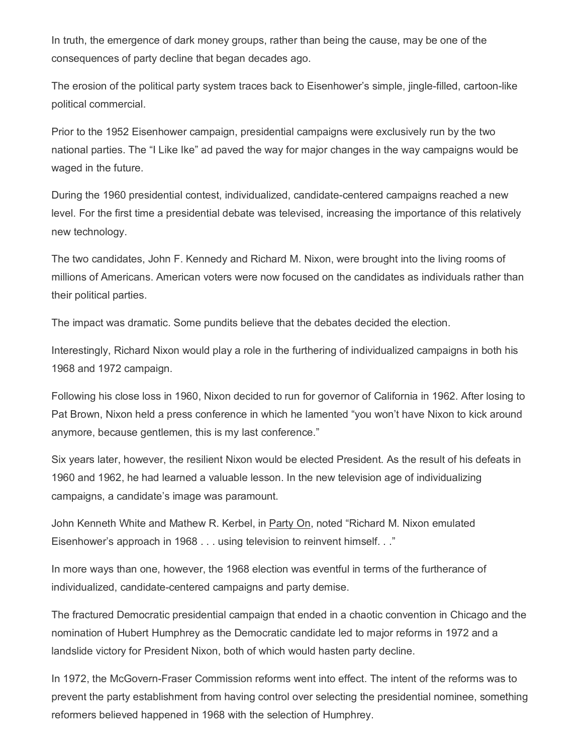In truth, the emergence of dark money groups, rather than being the cause, may be one of the consequences of party decline that began decades ago.

The erosion of the political party system traces back to Eisenhower's simple, jingle-filled, cartoon-like political commercial.

Prior to the 1952 Eisenhower campaign, presidential campaigns were exclusively run by the two national parties. The "I Like Ike" ad paved the way for major changes in the way campaigns would be waged in the future.

During the 1960 presidential contest, individualized, candidate-centered campaigns reached a new level. For the first time a presidential debate was televised, increasing the importance of this relatively new technology.

The two candidates, John F. Kennedy and Richard M. Nixon, were brought into the living rooms of millions of Americans. American voters were now focused on the candidates as individuals rather than their political parties.

The impact was dramatic. Some pundits believe that the debates decided the election.

Interestingly, Richard Nixon would play a role in the furthering of individualized campaigns in both his 1968 and 1972 campaign.

Following his close loss in 1960, Nixon decided to run for governor of California in 1962. After losing to Pat Brown, Nixon held a press conference in which he lamented "you won't have Nixon to kick around anymore, because gentlemen, this is my last conference."

Six years later, however, the resilient Nixon would be elected President. As the result of his defeats in 1960 and 1962, he had learned a valuable lesson. In the new television age of individualizing campaigns, a candidate's image was paramount.

John Kenneth White and Mathew R. Kerbel, in Party On, noted "Richard M. Nixon emulated Eisenhower's approach in 1968 . . . using television to reinvent himself. . ."

In more ways than one, however, the 1968 election was eventful in terms of the furtherance of individualized, candidate-centered campaigns and party demise.

The fractured Democratic presidential campaign that ended in a chaotic convention in Chicago and the nomination of Hubert Humphrey as the Democratic candidate led to major reforms in 1972 and a landslide victory for President Nixon, both of which would hasten party decline.

In 1972, the McGovern-Fraser Commission reforms went into effect. The intent of the reforms was to prevent the party establishment from having control over selecting the presidential nominee, something reformers believed happened in 1968 with the selection of Humphrey.